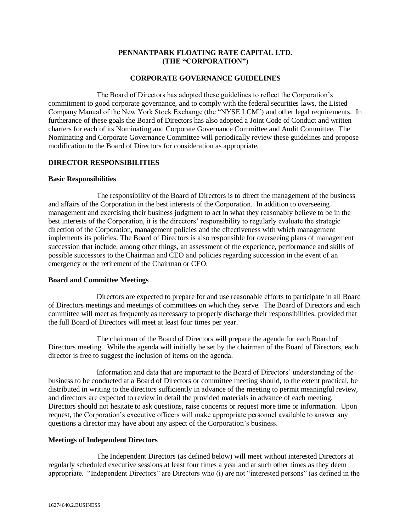## **PENNANTPARK FLOATING RATE CAPITAL LTD. (THE "CORPORATION")**

### **CORPORATE GOVERNANCE GUIDELINES**

The Board of Directors has adopted these guidelines to reflect the Corporation's commitment to good corporate governance, and to comply with the federal securities laws, the Listed Company Manual of the New York Stock Exchange (the "NYSE LCM") and other legal requirements. In furtherance of these goals the Board of Directors has also adopted a Joint Code of Conduct and written charters for each of its Nominating and Corporate Governance Committee and Audit Committee. The Nominating and Corporate Governance Committee will periodically review these guidelines and propose modification to the Board of Directors for consideration as appropriate.

### **DIRECTOR RESPONSIBILITIES**

#### **Basic Responsibilities**

The responsibility of the Board of Directors is to direct the management of the business and affairs of the Corporation in the best interests of the Corporation. In addition to overseeing management and exercising their business judgment to act in what they reasonably believe to be in the best interests of the Corporation, it is the directors' responsibility to regularly evaluate the strategic direction of the Corporation, management policies and the effectiveness with which management implements its policies. The Board of Directors is also responsible for overseeing plans of management succession that include, among other things, an assessment of the experience, performance and skills of possible successors to the Chairman and CEO and policies regarding succession in the event of an emergency or the retirement of the Chairman or CEO.

#### **Board and Committee Meetings**

Directors are expected to prepare for and use reasonable efforts to participate in all Board of Directors meetings and meetings of committees on which they serve. The Board of Directors and each committee will meet as frequently as necessary to properly discharge their responsibilities, provided that the full Board of Directors will meet at least four times per year.

The chairman of the Board of Directors will prepare the agenda for each Board of Directors meeting. While the agenda will initially be set by the chairman of the Board of Directors, each director is free to suggest the inclusion of items on the agenda.

Information and data that are important to the Board of Directors' understanding of the business to be conducted at a Board of Directors or committee meeting should, to the extent practical, be distributed in writing to the directors sufficiently in advance of the meeting to permit meaningful review, and directors are expected to review in detail the provided materials in advance of each meeting. Directors should not hesitate to ask questions, raise concerns or request more time or information. Upon request, the Corporation's executive officers will make appropriate personnel available to answer any questions a director may have about any aspect of the Corporation's business.

#### **Meetings of Independent Directors**

The Independent Directors (as defined below) will meet without interested Directors at regularly scheduled executive sessions at least four times a year and at such other times as they deem appropriate. "Independent Directors" are Directors who (i) are not "interested persons" (as defined in the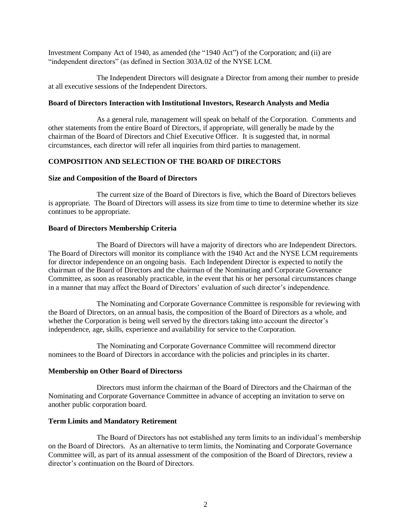Investment Company Act of 1940, as amended (the "1940 Act") of the Corporation; and (ii) are "independent directors" (as defined in Section 303A.02 of the NYSE LCM.

The Independent Directors will designate a Director from among their number to preside at all executive sessions of the Independent Directors.

### **Board of Directors Interaction with Institutional Investors, Research Analysts and Media**

As a general rule, management will speak on behalf of the Corporation. Comments and other statements from the entire Board of Directors, if appropriate, will generally be made by the chairman of the Board of Directors and Chief Executive Officer. It is suggested that, in normal circumstances, each director will refer all inquiries from third parties to management.

## **COMPOSITION AND SELECTION OF THE BOARD OF DIRECTORS**

#### **Size and Composition of the Board of Directors**

The current size of the Board of Directors is five, which the Board of Directors believes is appropriate. The Board of Directors will assess its size from time to time to determine whether its size continues to be appropriate.

### **Board of Directors Membership Criteria**

The Board of Directors will have a majority of directors who are Independent Directors. The Board of Directors will monitor its compliance with the 1940 Act and the NYSE LCM requirements for director independence on an ongoing basis. Each Independent Director is expected to notify the chairman of the Board of Directors and the chairman of the Nominating and Corporate Governance Committee, as soon as reasonably practicable, in the event that his or her personal circumstances change in a manner that may affect the Board of Directors' evaluation of such director's independence.

The Nominating and Corporate Governance Committee is responsible for reviewing with the Board of Directors, on an annual basis, the composition of the Board of Directors as a whole, and whether the Corporation is being well served by the directors taking into account the director's independence, age, skills, experience and availability for service to the Corporation.

The Nominating and Corporate Governance Committee will recommend director nominees to the Board of Directors in accordance with the policies and principles in its charter.

#### **Membership on Other Board of Directorss**

Directors must inform the chairman of the Board of Directors and the Chairman of the Nominating and Corporate Governance Committee in advance of accepting an invitation to serve on another public corporation board.

## **Term Limits and Mandatory Retirement**

The Board of Directors has not established any term limits to an individual's membership on the Board of Directors. As an alternative to term limits, the Nominating and Corporate Governance Committee will, as part of its annual assessment of the composition of the Board of Directors, review a director's continuation on the Board of Directors.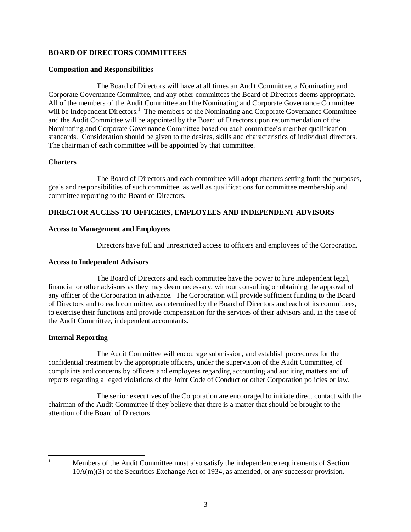## **BOARD OF DIRECTORS COMMITTEES**

#### **Composition and Responsibilities**

The Board of Directors will have at all times an Audit Committee, a Nominating and Corporate Governance Committee, and any other committees the Board of Directors deems appropriate. All of the members of the Audit Committee and the Nominating and Corporate Governance Committee will be Independent Directors.<sup>1</sup> The members of the Nominating and Corporate Governance Committee and the Audit Committee will be appointed by the Board of Directors upon recommendation of the Nominating and Corporate Governance Committee based on each committee's member qualification standards. Consideration should be given to the desires, skills and characteristics of individual directors. The chairman of each committee will be appointed by that committee.

### **Charters**

The Board of Directors and each committee will adopt charters setting forth the purposes, goals and responsibilities of such committee, as well as qualifications for committee membership and committee reporting to the Board of Directors.

# **DIRECTOR ACCESS TO OFFICERS, EMPLOYEES AND INDEPENDENT ADVISORS**

### **Access to Management and Employees**

Directors have full and unrestricted access to officers and employees of the Corporation.

### **Access to Independent Advisors**

The Board of Directors and each committee have the power to hire independent legal, financial or other advisors as they may deem necessary, without consulting or obtaining the approval of any officer of the Corporation in advance. The Corporation will provide sufficient funding to the Board of Directors and to each committee, as determined by the Board of Directors and each of its committees, to exercise their functions and provide compensation for the services of their advisors and, in the case of the Audit Committee, independent accountants.

## **Internal Reporting**

The Audit Committee will encourage submission, and establish procedures for the confidential treatment by the appropriate officers, under the supervision of the Audit Committee, of complaints and concerns by officers and employees regarding accounting and auditing matters and of reports regarding alleged violations of the Joint Code of Conduct or other Corporation policies or law.

The senior executives of the Corporation are encouraged to initiate direct contact with the chairman of the Audit Committee if they believe that there is a matter that should be brought to the attention of the Board of Directors.

 $\mathbf{1}$ 

Members of the Audit Committee must also satisfy the independence requirements of Section 10A(m)(3) of the Securities Exchange Act of 1934, as amended, or any successor provision.